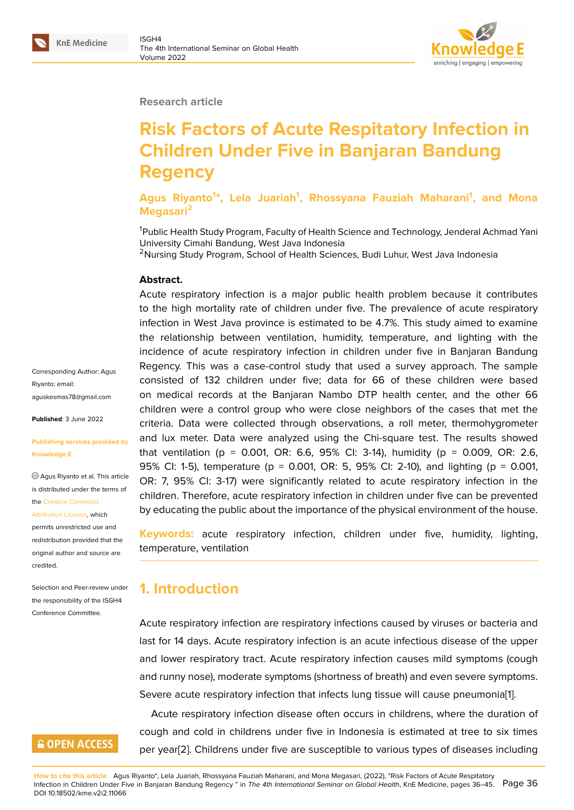#### **Research article**

# **Risk Factors of Acute Respitatory Infection in Children Under Five in Banjaran Bandung Regency**

**Agus Riyanto<sup>1</sup> \*, Lela Juariah<sup>1</sup> , Rhossyana Fauziah Maharani<sup>1</sup> , and Mona Megasari<sup>2</sup>**

<sup>1</sup>Public Health Study Program, Faculty of Health Science and Technology, Jenderal Achmad Yani University Cimahi Bandung, West Java Indonesia

<sup>2</sup>Nursing Study Program, School of Health Sciences, Budi Luhur, West Java Indonesia

#### **Abstract.**

Acute respiratory infection is a major public health problem because it contributes to the high mortality rate of children under five. The prevalence of acute respiratory infection in West Java province is estimated to be 4.7%. This study aimed to examine the relationship between ventilation, humidity, temperature, and lighting with the incidence of acute respiratory infection in children under five in Banjaran Bandung Regency. This was a case-control study that used a survey approach. The sample consisted of 132 children under five; data for 66 of these children were based on medical records at the Banjaran Nambo DTP health center, and the other 66 children were a control group who were close neighbors of the cases that met the criteria. Data were collected through observations, a roll meter, thermohygrometer and lux meter. Data were analyzed using the Chi-square test. The results showed that ventilation (p = 0.001, OR: 6.6, 95% CI: 3-14), humidity (p = 0.009, OR: 2.6, 95% CI: 1-5), temperature (p = 0.001, OR: 5, 95% CI: 2-10), and lighting (p = 0.001, OR: 7, 95% CI: 3-17) were significantly related to acute respiratory infection in the children. Therefore, acute respiratory infection in children under five can be prevented by educating the public about the importance of the physical environment of the house.

**Keywords:** acute respiratory infection, children under five, humidity, lighting, temperature, ventilation

## **1. Introduction**

Acute respiratory infection are respiratory infections caused by viruses or bacteria and last for 14 days. Acute respiratory infection is an acute infectious disease of the upper and lower respiratory tract. Acute respiratory infection causes mild symptoms (cough and runny nose), moderate symptoms (shortness of breath) and even severe symptoms. Severe acute respiratory infection that infects lung tissue will cause pneumonia[1].

Acute respiratory infection disease often occurs in childrens, where the duration of cough and cold in childrens under five in Indonesia is estimated at tree to six times per year[2]. Childrens under five are susceptible to various types of diseases in[cl](#page-8-0)uding

Corresponding Author: Agus Riyanto; email: aguskesmas78@gmail.com

**Published**: 3 June 2022

#### **[Publishing services provid](mailto:aguskesmas78@gmail.com)ed by Knowledge E**

Agus Riyanto et al. This article is distributed under the terms of the Creative Commons

Attribution License, which

permits unrestricted use and redistribution provided that the orig[inal author and sou](https://creativecommons.org/licenses/by/4.0/)rce are [credited.](https://creativecommons.org/licenses/by/4.0/)

Selection and Peer-review under the responsibility of the ISGH4 Conference Committee.

## **GOPEN ACCESS**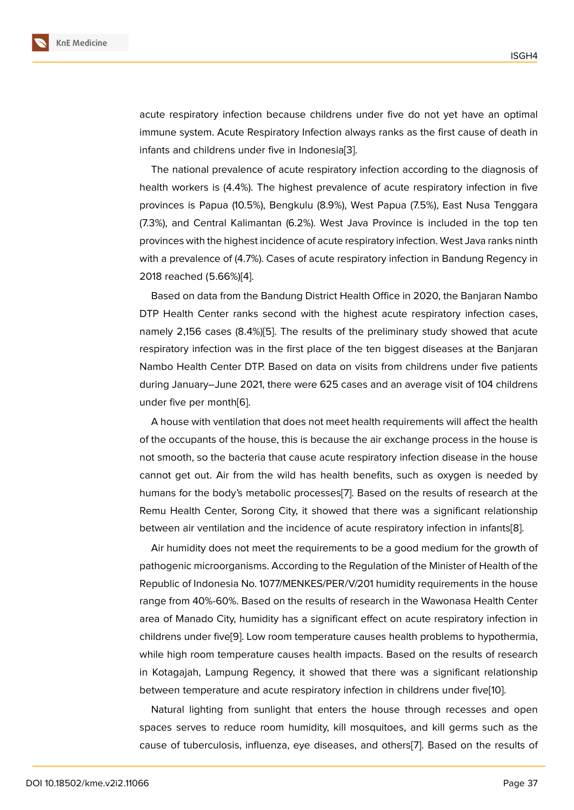acute respiratory infection because childrens under five do not yet have an optimal immune system. Acute Respiratory Infection always ranks as the first cause of death in infants and childrens under five in Indonesia[3].

The national prevalence of acute respiratory infection according to the diagnosis of health workers is (4.4%). The highest prevalence of acute respiratory infection in five provinces is Papua (10.5%), Bengkulu (8.9%)[, W](#page-8-1)est Papua (7.5%), East Nusa Tenggara (7.3%), and Central Kalimantan (6.2%). West Java Province is included in the top ten provinces with the highest incidence of acute respiratory infection. West Java ranks ninth with a prevalence of (4.7%). Cases of acute respiratory infection in Bandung Regency in 2018 reached (5.66%)[4].

Based on data from the Bandung District Health Office in 2020, the Banjaran Nambo DTP Health Center ranks second with the highest acute respiratory infection cases, namely 2,156 cases ([8.4](#page-8-2)%)[5]. The results of the preliminary study showed that acute respiratory infection was in the first place of the ten biggest diseases at the Banjaran Nambo Health Center DTP. Based on data on visits from childrens under five patients during January–June 2021, [th](#page-8-3)ere were 625 cases and an average visit of 104 childrens under five per month[6].

A house with ventilation that does not meet health requirements will affect the health of the occupants of the house, this is because the air exchange process in the house is not smooth, so the b[act](#page-8-4)eria that cause acute respiratory infection disease in the house cannot get out. Air from the wild has health benefits, such as oxygen is needed by humans for the body's metabolic processes[7]. Based on the results of research at the Remu Health Center, Sorong City, it showed that there was a significant relationship between air ventilation and the incidence of acute respiratory infection in infants[8].

Air humidity does not meet the requireme[n](#page-8-5)ts to be a good medium for the growth of pathogenic microorganisms. According to the Regulation of the Minister of Health of the Republic of Indonesia No. 1077/MENKES/PER/V/201 humidity requirements in the [ho](#page-8-6)use range from 40%-60%. Based on the results of research in the Wawonasa Health Center area of Manado City, humidity has a significant effect on acute respiratory infection in childrens under five[9]. Low room temperature causes health problems to hypothermia, while high room temperature causes health impacts. Based on the results of research in Kotagajah, Lampung Regency, it showed that there was a significant relationship between temperatu[re](#page-8-7) and acute respiratory infection in childrens under five[10].

Natural lighting from sunlight that enters the house through recesses and open spaces serves to reduce room humidity, kill mosquitoes, and kill germs such as the cause of tuberculosis, influenza, eye diseases, and others[7]. Based on the [re](#page-8-8)sults of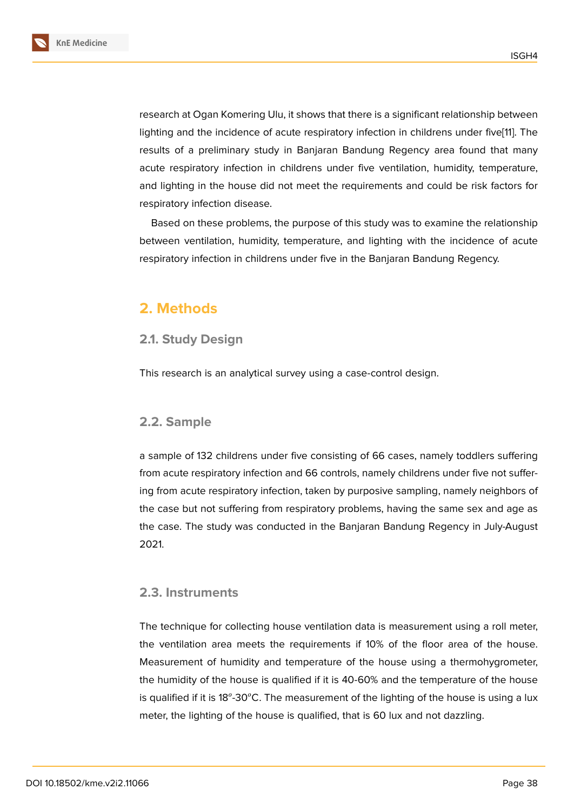research at Ogan Komering Ulu, it shows that there is a significant relationship between lighting and the incidence of acute respiratory infection in childrens under five[11]. The results of a preliminary study in Banjaran Bandung Regency area found that many acute respiratory infection in childrens under five ventilation, humidity, temperature, and lighting in the house did not meet the requirements and could be risk fac[to](#page-9-0)rs for respiratory infection disease.

Based on these problems, the purpose of this study was to examine the relationship between ventilation, humidity, temperature, and lighting with the incidence of acute respiratory infection in childrens under five in the Banjaran Bandung Regency.

## **2. Methods**

### **2.1. Study Design**

This research is an analytical survey using a case-control design.

#### **2.2. Sample**

a sample of 132 childrens under five consisting of 66 cases, namely toddlers suffering from acute respiratory infection and 66 controls, namely childrens under five not suffering from acute respiratory infection, taken by purposive sampling, namely neighbors of the case but not suffering from respiratory problems, having the same sex and age as the case. The study was conducted in the Banjaran Bandung Regency in July-August 2021.

### **2.3. Instruments**

The technique for collecting house ventilation data is measurement using a roll meter, the ventilation area meets the requirements if 10% of the floor area of the house. Measurement of humidity and temperature of the house using a thermohygrometer, the humidity of the house is qualified if it is 40-60% and the temperature of the house is qualified if it is 18<sup>o</sup>-30°C. The measurement of the lighting of the house is using a lux meter, the lighting of the house is qualified, that is 60 lux and not dazzling.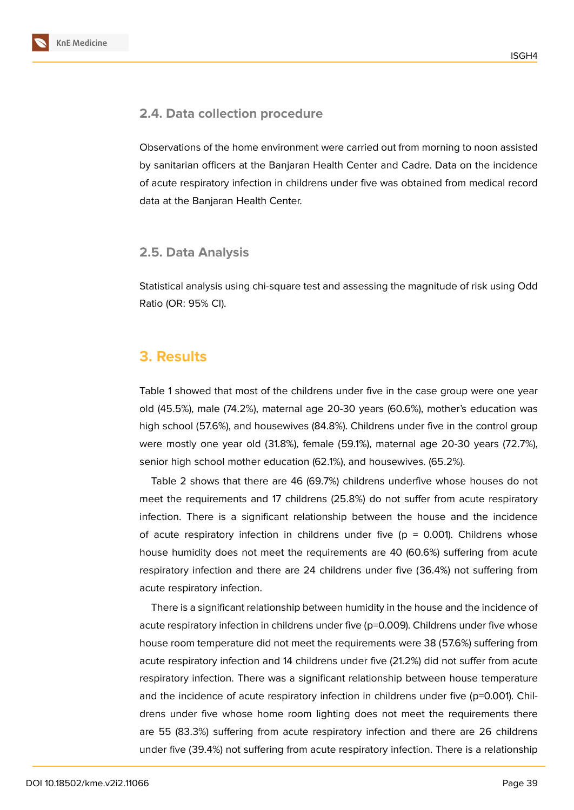## **2.4. Data collection procedure**

Observations of the home environment were carried out from morning to noon assisted by sanitarian officers at the Banjaran Health Center and Cadre. Data on the incidence of acute respiratory infection in childrens under five was obtained from medical record data at the Banjaran Health Center.

## **2.5. Data Analysis**

Statistical analysis using chi-square test and assessing the magnitude of risk using Odd Ratio (OR: 95% CI).

# **3. Results**

Table 1 showed that most of the childrens under five in the case group were one year old (45.5%), male (74.2%), maternal age 20-30 years (60.6%), mother's education was high school (57.6%), and housewives (84.8%). Childrens under five in the control group were mostly one year old (31.8%), female (59.1%), maternal age 20-30 years (72.7%), senior high school mother education (62.1%), and housewives. (65.2%).

Table 2 shows that there are 46 (69.7%) childrens underfive whose houses do not meet the requirements and 17 childrens (25.8%) do not suffer from acute respiratory infection. There is a significant relationship between the house and the incidence of acute respiratory infection in childrens under five ( $p = 0.001$ ). Childrens whose house humidity does not meet the requirements are 40 (60.6%) suffering from acute respiratory infection and there are 24 childrens under five (36.4%) not suffering from acute respiratory infection.

There is a significant relationship between humidity in the house and the incidence of acute respiratory infection in childrens under five (p=0.009). Childrens under five whose house room temperature did not meet the requirements were 38 (57.6%) suffering from acute respiratory infection and 14 childrens under five (21.2%) did not suffer from acute respiratory infection. There was a significant relationship between house temperature and the incidence of acute respiratory infection in childrens under five (p=0.001). Childrens under five whose home room lighting does not meet the requirements there are 55 (83.3%) suffering from acute respiratory infection and there are 26 childrens under five (39.4%) not suffering from acute respiratory infection. There is a relationship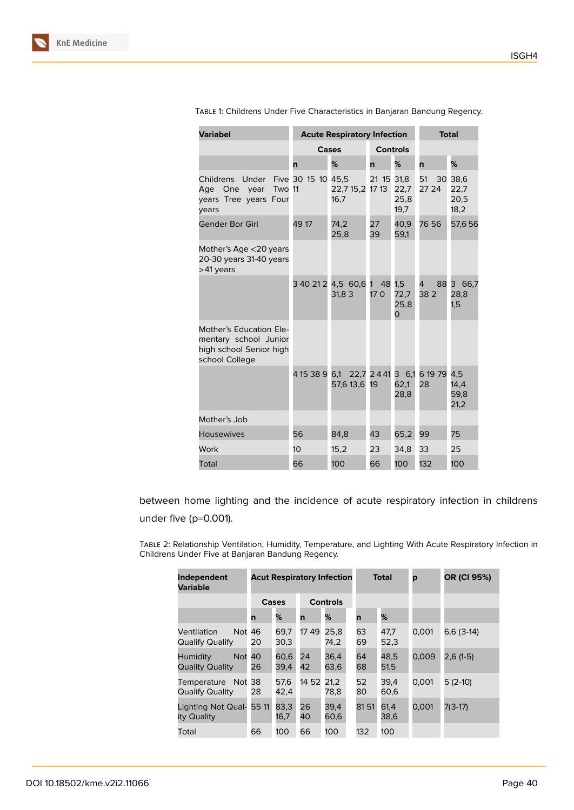| <b>Variabel</b>                                                                               |                    | <b>Acute Respiratory Infection</b>                   | <b>Total</b>              |                          |                |                                 |
|-----------------------------------------------------------------------------------------------|--------------------|------------------------------------------------------|---------------------------|--------------------------|----------------|---------------------------------|
|                                                                                               |                    | Cases                                                |                           | <b>Controls</b>          |                |                                 |
|                                                                                               | n                  | %                                                    | n                         | %                        | n              | %                               |
| Childrens<br>Under<br>Two 11<br>Age One<br>year<br>years Tree years Four<br>vears             | Five 30 15 10 45,5 | 22,7 15,2 17 13<br>16,7                              | 21 15 31,8                | 22,7<br>25,8<br>19,7     | 51<br>27 24    | 30 38,6<br>22,7<br>20,5<br>18,2 |
| Gender Bor Girl                                                                               | 49 17              | 74,2<br>25,8                                         | 27<br>39                  | 40,9<br>59,1             | 76 56          | 57,656                          |
| Mother's Age <20 years<br>20-30 years 31-40 years<br>>41 years                                |                    |                                                      |                           |                          |                |                                 |
|                                                                                               |                    | 3 40 21 2 4,5 60,6<br>31,83                          | 48<br>$\mathbf{1}$<br>170 | 1,5<br>72,7<br>25,8<br>0 | 88<br>4<br>382 | З<br>66,7<br>28,8<br>1,5        |
| Mother's Education Ele-<br>mentary school Junior<br>high school Senior high<br>school College |                    |                                                      |                           |                          |                |                                 |
|                                                                                               |                    | 4 15 38 9 6,1 22,7 2 4 41 3 6,1 6 19 79<br>57,6 13,6 | 19                        | 62,1<br>28,8             | 28             | 4.5<br>14, 4<br>59,8<br>21,2    |
| Mother's Job                                                                                  |                    |                                                      |                           |                          |                |                                 |
| <b>Housewives</b>                                                                             | 56                 | 84,8                                                 | 43                        | 65,2                     | 99             | 75                              |
| Work                                                                                          | 10                 | 15,2                                                 | 23                        | 34,8                     | 33             | 25                              |
| Total                                                                                         | 66                 | 100                                                  | 66                        | 100                      | 132            | 100                             |

Table 1: Childrens Under Five Characteristics in Banjaran Bandung Regency.

between home lighting and the incidence of acute respiratory infection in childrens under five (p=0.001).

Table 2: Relationship Ventilation, Humidity, Temperature, and Lighting With Acute Respiratory Infection in Childrens Under Five at Banjaran Bandung Regency.

| Independent<br>Variable                          | <b>Acut Respiratory Infection</b> |              |                 |              | <b>Total</b> | p            | OR (CI 95%) |             |
|--------------------------------------------------|-----------------------------------|--------------|-----------------|--------------|--------------|--------------|-------------|-------------|
|                                                  | Cases                             |              | <b>Controls</b> |              |              |              |             |             |
|                                                  | n                                 | %            | n               | %            | n            | %            |             |             |
| Not 46<br>Ventilation<br>Qualify Qualify         | 20                                | 69,7<br>30,3 | 1749            | 25.8<br>74,2 | 63<br>69     | 47,7<br>52,3 | 0,001       | $6,6(3-14)$ |
| <b>Not</b><br>Humidity<br><b>Quality Quality</b> | 40<br>26                          | 60,6<br>39,4 | 24<br>42        | 36,4<br>63,6 | 64<br>68     | 48.5<br>51,5 | 0.009       | $2,6(1-5)$  |
| Temperature Not 38<br><b>Qualify Quality</b>     | 28                                | 57,6<br>42.4 | 14 52           | 21.2<br>78.8 | 52<br>80     | 39,4<br>60,6 | 0.001       | 5 (2-10)    |
| Lighting Not Qual-<br>ity Quality                | 55 11                             | 83,3<br>16,7 | 26<br>40        | 39,4<br>60,6 | 8151         | 61,4<br>38,6 | 0.001       | 7(3-17)     |
| Total                                            | 66                                | 100          | 66              | 100          | 132          | 100          |             |             |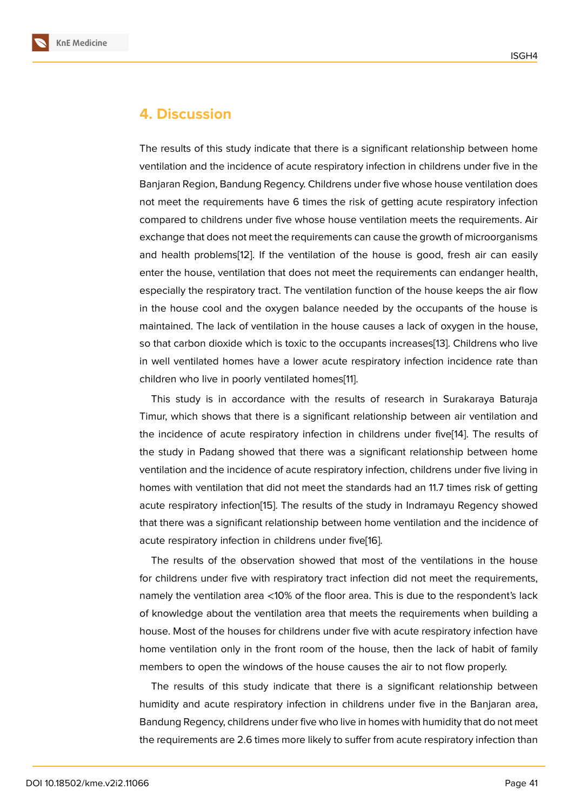## **4. Discussion**

The results of this study indicate that there is a significant relationship between home ventilation and the incidence of acute respiratory infection in childrens under five in the Banjaran Region, Bandung Regency. Childrens under five whose house ventilation does not meet the requirements have 6 times the risk of getting acute respiratory infection compared to childrens under five whose house ventilation meets the requirements. Air exchange that does not meet the requirements can cause the growth of microorganisms and health problems[12]. If the ventilation of the house is good, fresh air can easily enter the house, ventilation that does not meet the requirements can endanger health, especially the respiratory tract. The ventilation function of the house keeps the air flow in the house cool an[d t](#page-9-1)he oxygen balance needed by the occupants of the house is maintained. The lack of ventilation in the house causes a lack of oxygen in the house, so that carbon dioxide which is toxic to the occupants increases[13]. Childrens who live in well ventilated homes have a lower acute respiratory infection incidence rate than children who live in poorly ventilated homes[11].

This study is in accordance with the results of research i[n S](#page-9-2)urakaraya Baturaja Timur, which shows that there is a significant relationship between air ventilation and the incidence of acute respiratory infection [in](#page-9-0) childrens under five[14]. The results of the study in Padang showed that there was a significant relationship between home ventilation and the incidence of acute respiratory infection, childrens under five living in homes with ventilation that did not meet the standards had an 11.7 ti[me](#page-9-3)s risk of getting acute respiratory infection[15]. The results of the study in Indramayu Regency showed that there was a significant relationship between home ventilation and the incidence of acute respiratory infection in childrens under five[16].

The results of the obs[erva](#page-9-4)tion showed that most of the ventilations in the house for childrens under five with respiratory tract infection did not meet the requirements, namely the ventilation area <10% of the floor are[a. T](#page-9-5)his is due to the respondent's lack of knowledge about the ventilation area that meets the requirements when building a house. Most of the houses for childrens under five with acute respiratory infection have home ventilation only in the front room of the house, then the lack of habit of family members to open the windows of the house causes the air to not flow properly.

The results of this study indicate that there is a significant relationship between humidity and acute respiratory infection in childrens under five in the Banjaran area, Bandung Regency, childrens under five who live in homes with humidity that do not meet the requirements are 2.6 times more likely to suffer from acute respiratory infection than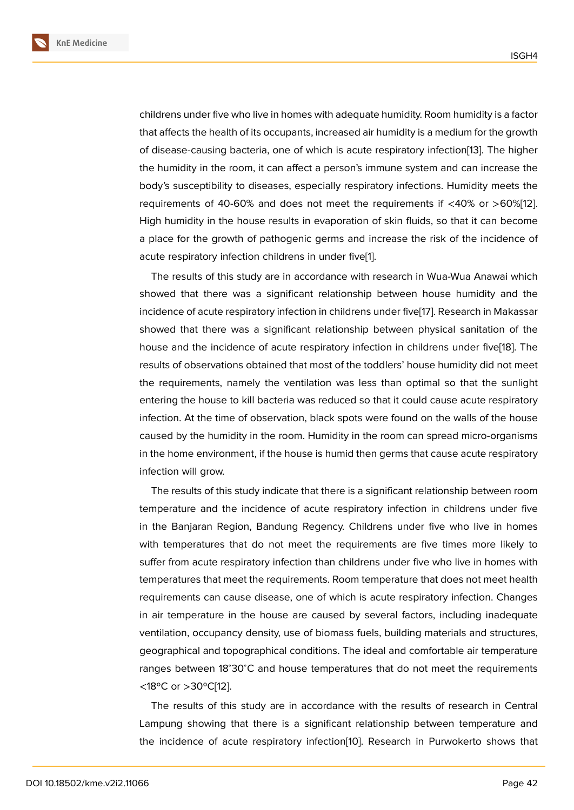childrens under five who live in homes with adequate humidity. Room humidity is a factor that affects the health of its occupants, increased air humidity is a medium for the growth of disease-causing bacteria, one of which is acute respiratory infection[13]. The higher the humidity in the room, it can affect a person's immune system and can increase the body's susceptibility to diseases, especially respiratory infections. Humidity meets the requirements of 40-60% and does not meet the requirements if <40[%](#page-9-2) or >60%[12]. High humidity in the house results in evaporation of skin fluids, so that it can become a place for the growth of pathogenic germs and increase the risk of the incidence of acute respiratory infection childrens in under five[1].

The results of this study are in accordance with research in Wua-Wua Anawai which showed that there was a significant relationship between house humidity and the incidence of acute respiratory infection in children[s](#page-8-0) under five[17]. Research in Makassar showed that there was a significant relationship between physical sanitation of the house and the incidence of acute respiratory infection in childrens under five[18]. The results of observations obtained that most of the toddlers' ho[use](#page-9-6) humidity did not meet the requirements, namely the ventilation was less than optimal so that the sunlight entering the house to kill bacteria was reduced so that it could cause acute re[spir](#page-9-7)atory infection. At the time of observation, black spots were found on the walls of the house caused by the humidity in the room. Humidity in the room can spread micro-organisms in the home environment, if the house is humid then germs that cause acute respiratory infection will grow.

The results of this study indicate that there is a significant relationship between room temperature and the incidence of acute respiratory infection in childrens under five in the Banjaran Region, Bandung Regency. Childrens under five who live in homes with temperatures that do not meet the requirements are five times more likely to suffer from acute respiratory infection than childrens under five who live in homes with temperatures that meet the requirements. Room temperature that does not meet health requirements can cause disease, one of which is acute respiratory infection. Changes in air temperature in the house are caused by several factors, including inadequate ventilation, occupancy density, use of biomass fuels, building materials and structures, geographical and topographical conditions. The ideal and comfortable air temperature ranges between 18<sup>∘</sup>30<sup>∘</sup>C and house temperatures that do not meet the requirements <18ºC or >30ºC[12].

The results of this study are in accordance with the results of research in Central Lampung showing that there is a significant relationship between temperature and the incidence o[f a](#page-9-1)cute respiratory infection[10]. Research in Purwokerto shows that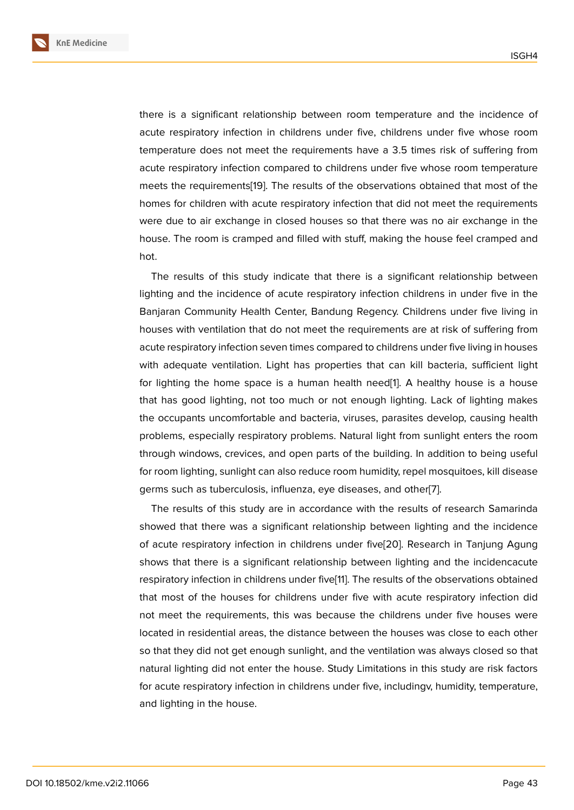there is a significant relationship between room temperature and the incidence of acute respiratory infection in childrens under five, childrens under five whose room temperature does not meet the requirements have a 3.5 times risk of suffering from acute respiratory infection compared to childrens under five whose room temperature meets the requirements[19]. The results of the observations obtained that most of the homes for children with acute respiratory infection that did not meet the requirements were due to air exchange in closed houses so that there was no air exchange in the house. The room is cra[mpe](#page-9-8)d and filled with stuff, making the house feel cramped and hot.

The results of this study indicate that there is a significant relationship between lighting and the incidence of acute respiratory infection childrens in under five in the Banjaran Community Health Center, Bandung Regency. Childrens under five living in houses with ventilation that do not meet the requirements are at risk of suffering from acute respiratory infection seven times compared to childrens under five living in houses with adequate ventilation. Light has properties that can kill bacteria, sufficient light for lighting the home space is a human health need[1]. A healthy house is a house that has good lighting, not too much or not enough lighting. Lack of lighting makes the occupants uncomfortable and bacteria, viruses, parasites develop, causing health problems, especially respiratory problems. Natural ligh[t](#page-8-0) from sunlight enters the room through windows, crevices, and open parts of the building. In addition to being useful for room lighting, sunlight can also reduce room humidity, repel mosquitoes, kill disease germs such as tuberculosis, influenza, eye diseases, and other[7].

The results of this study are in accordance with the results of research Samarinda showed that there was a significant relationship between lighting and the incidence of acute respiratory infection in childrens under five[20]. Rese[ar](#page-8-5)ch in Tanjung Agung shows that there is a significant relationship between lighting and the incidencacute respiratory infection in childrens under five[11]. The results of the observations obtained that most of the houses for childrens under five wit[h a](#page-9-9)cute respiratory infection did not meet the requirements, this was because the childrens under five houses were located in residential areas, the distance b[etw](#page-9-0)een the houses was close to each other so that they did not get enough sunlight, and the ventilation was always closed so that natural lighting did not enter the house. Study Limitations in this study are risk factors for acute respiratory infection in childrens under five, includingv, humidity, temperature, and lighting in the house.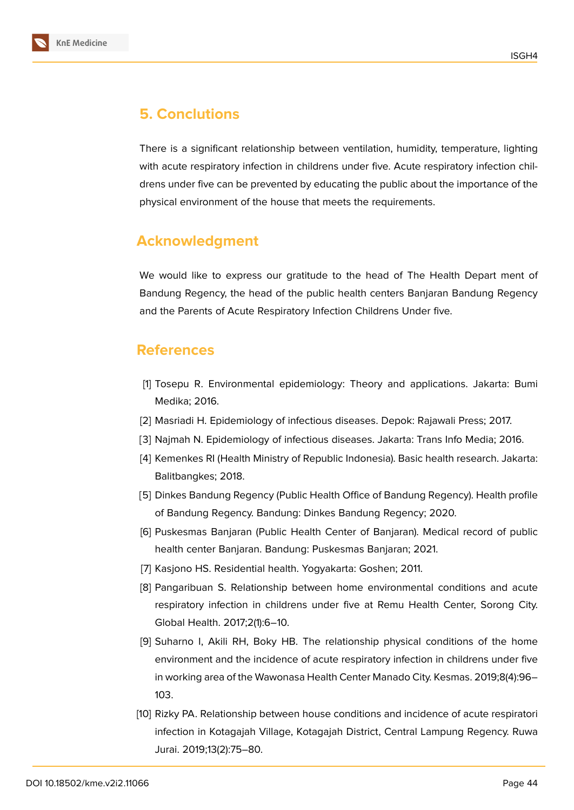

# **5. Conclutions**

There is a significant relationship between ventilation, humidity, temperature, lighting with acute respiratory infection in childrens under five. Acute respiratory infection childrens under five can be prevented by educating the public about the importance of the physical environment of the house that meets the requirements.

## **Acknowledgment**

We would like to express our gratitude to the head of The Health Depart ment of Bandung Regency, the head of the public health centers Banjaran Bandung Regency and the Parents of Acute Respiratory Infection Childrens Under five.

## **References**

- <span id="page-8-0"></span>[1] Tosepu R. Environmental epidemiology: Theory and applications. Jakarta: Bumi Medika; 2016.
- [2] Masriadi H. Epidemiology of infectious diseases. Depok: Rajawali Press; 2017.
- <span id="page-8-1"></span>[3] Najmah N. Epidemiology of infectious diseases. Jakarta: Trans Info Media; 2016.
- <span id="page-8-2"></span>[4] Kemenkes RI (Health Ministry of Republic Indonesia). Basic health research. Jakarta: Balitbangkes; 2018.
- <span id="page-8-3"></span>[5] Dinkes Bandung Regency (Public Health Office of Bandung Regency). Health profile of Bandung Regency. Bandung: Dinkes Bandung Regency; 2020.
- <span id="page-8-4"></span>[6] Puskesmas Banjaran (Public Health Center of Banjaran). Medical record of public health center Banjaran. Bandung: Puskesmas Banjaran; 2021.
- <span id="page-8-5"></span>[7] Kasjono HS. Residential health. Yogyakarta: Goshen; 2011.
- <span id="page-8-6"></span>[8] Pangaribuan S. Relationship between home environmental conditions and acute respiratory infection in childrens under five at Remu Health Center, Sorong City. Global Health. 2017;2(1):6–10.
- <span id="page-8-7"></span>[9] Suharno I, Akili RH, Boky HB. The relationship physical conditions of the home environment and the incidence of acute respiratory infection in childrens under five in working area of the Wawonasa Health Center Manado City. Kesmas. 2019;8(4):96– 103.
- <span id="page-8-8"></span>[10] Rizky PA. Relationship between house conditions and incidence of acute respiratori infection in Kotagajah Village, Kotagajah District, Central Lampung Regency. Ruwa Jurai. 2019;13(2):75–80.